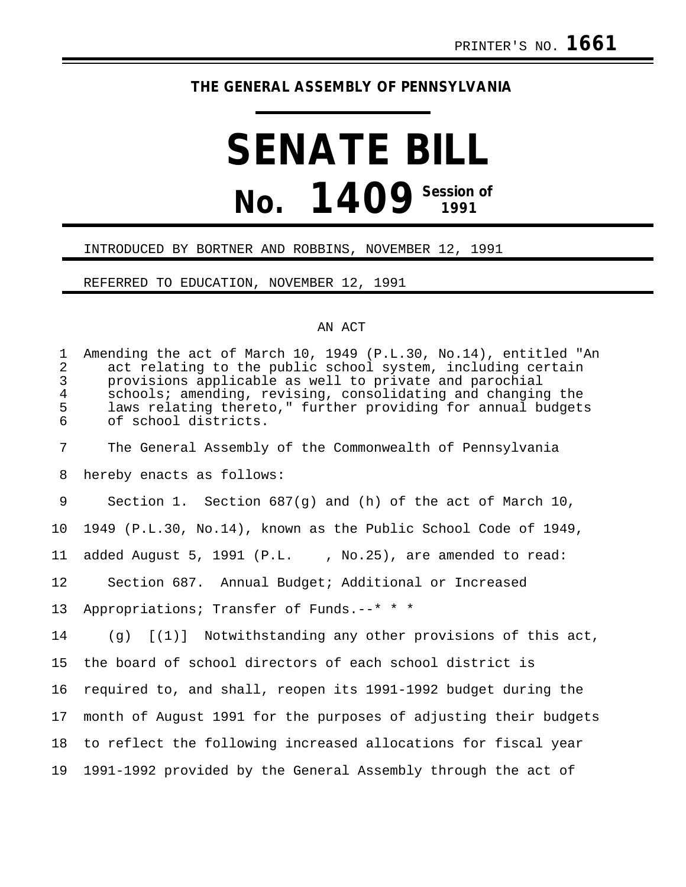## **THE GENERAL ASSEMBLY OF PENNSYLVANIA**

## **SENATE BILL No. 1409 Session of**

## INTRODUCED BY BORTNER AND ROBBINS, NOVEMBER 12, 1991

REFERRED TO EDUCATION, NOVEMBER 12, 1991

## AN ACT

| $\mathbf{1}$<br>$\overline{2}$<br>$\mathfrak{Z}$<br>$\overline{\mathbf{4}}$<br>5<br>$\sigma$ | Amending the act of March 10, 1949 (P.L.30, No.14), entitled "An<br>act relating to the public school system, including certain<br>provisions applicable as well to private and parochial<br>schools; amending, revising, consolidating and changing the<br>laws relating thereto," further providing for annual budgets<br>of school districts. |
|----------------------------------------------------------------------------------------------|--------------------------------------------------------------------------------------------------------------------------------------------------------------------------------------------------------------------------------------------------------------------------------------------------------------------------------------------------|
| 7                                                                                            | The General Assembly of the Commonwealth of Pennsylvania                                                                                                                                                                                                                                                                                         |
| 8                                                                                            | hereby enacts as follows:                                                                                                                                                                                                                                                                                                                        |
| 9                                                                                            | Section 1. Section $687(g)$ and (h) of the act of March 10,                                                                                                                                                                                                                                                                                      |
| 10                                                                                           | 1949 (P.L.30, No.14), known as the Public School Code of 1949,                                                                                                                                                                                                                                                                                   |
| 11                                                                                           | added August 5, 1991 (P.L., No.25), are amended to read:                                                                                                                                                                                                                                                                                         |
| 12                                                                                           | Section 687. Annual Budget; Additional or Increased                                                                                                                                                                                                                                                                                              |
| 13                                                                                           | Appropriations; Transfer of Funds.--* * *                                                                                                                                                                                                                                                                                                        |
| 14                                                                                           | $(q)$ $[(1)]$ Notwithstanding any other provisions of this act,                                                                                                                                                                                                                                                                                  |
| 15                                                                                           | the board of school directors of each school district is                                                                                                                                                                                                                                                                                         |
| 16                                                                                           | required to, and shall, reopen its 1991-1992 budget during the                                                                                                                                                                                                                                                                                   |
| 17                                                                                           | month of August 1991 for the purposes of adjusting their budgets                                                                                                                                                                                                                                                                                 |
| 18                                                                                           | to reflect the following increased allocations for fiscal year                                                                                                                                                                                                                                                                                   |
| 19                                                                                           | 1991-1992 provided by the General Assembly through the act of                                                                                                                                                                                                                                                                                    |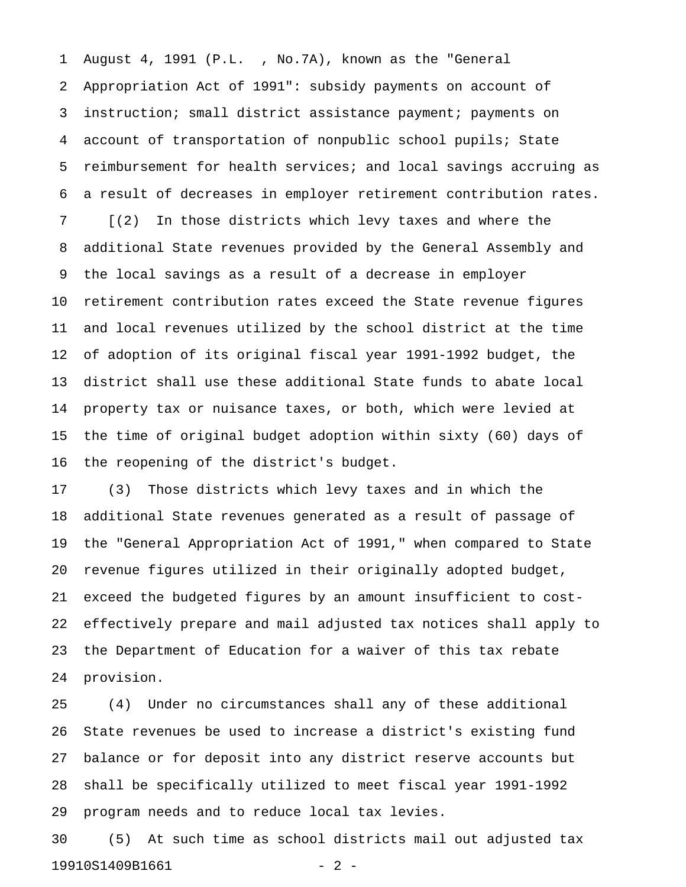1 August 4, 1991 (P.L. , No.7A), known as the "General 2 Appropriation Act of 1991": subsidy payments on account of 3 instruction; small district assistance payment; payments on 4 account of transportation of nonpublic school pupils; State 5 reimbursement for health services; and local savings accruing as 6 a result of decreases in employer retirement contribution rates.

7 [(2) In those districts which levy taxes and where the 8 additional State revenues provided by the General Assembly and 9 the local savings as a result of a decrease in employer 10 retirement contribution rates exceed the State revenue figures 11 and local revenues utilized by the school district at the time 12 of adoption of its original fiscal year 1991-1992 budget, the 13 district shall use these additional State funds to abate local 14 property tax or nuisance taxes, or both, which were levied at 15 the time of original budget adoption within sixty (60) days of 16 the reopening of the district's budget.

17 (3) Those districts which levy taxes and in which the 18 additional State revenues generated as a result of passage of 19 the "General Appropriation Act of 1991," when compared to State 20 revenue figures utilized in their originally adopted budget, 21 exceed the budgeted figures by an amount insufficient to cost-22 effectively prepare and mail adjusted tax notices shall apply to 23 the Department of Education for a waiver of this tax rebate 24 provision.

25 (4) Under no circumstances shall any of these additional 26 State revenues be used to increase a district's existing fund 27 balance or for deposit into any district reserve accounts but 28 shall be specifically utilized to meet fiscal year 1991-1992 29 program needs and to reduce local tax levies.

30 (5) At such time as school districts mail out adjusted tax 19910S1409B1661 - 2 -